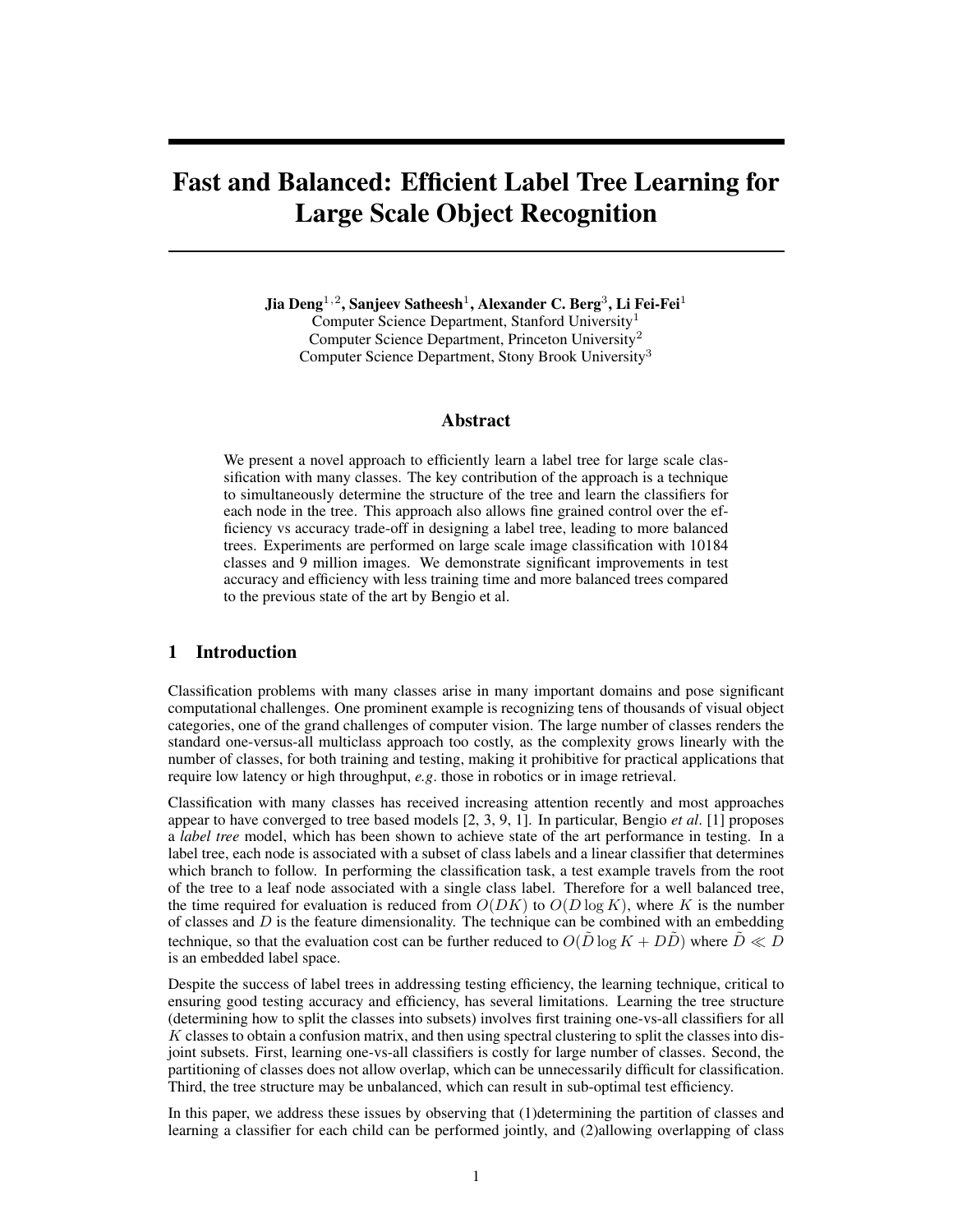# Fast and Balanced: Efficient Label Tree Learning for Large Scale Object Recognition

Jia Deng $^{1,2}$ , Sanjeev Satheesh $^{1}$ , Alexander C. Berg $^{3}$ , Li Fei-Fei $^{1}$ Computer Science Department, Stanford University<sup>1</sup> Computer Science Department, Princeton University<sup>2</sup> Computer Science Department, Stony Brook University<sup>3</sup>

## Abstract

We present a novel approach to efficiently learn a label tree for large scale classification with many classes. The key contribution of the approach is a technique to simultaneously determine the structure of the tree and learn the classifiers for each node in the tree. This approach also allows fine grained control over the efficiency vs accuracy trade-off in designing a label tree, leading to more balanced trees. Experiments are performed on large scale image classification with 10184 classes and 9 million images. We demonstrate significant improvements in test accuracy and efficiency with less training time and more balanced trees compared to the previous state of the art by Bengio et al.

# 1 Introduction

Classification problems with many classes arise in many important domains and pose significant computational challenges. One prominent example is recognizing tens of thousands of visual object categories, one of the grand challenges of computer vision. The large number of classes renders the standard one-versus-all multiclass approach too costly, as the complexity grows linearly with the number of classes, for both training and testing, making it prohibitive for practical applications that require low latency or high throughput, *e.g*. those in robotics or in image retrieval.

Classification with many classes has received increasing attention recently and most approaches appear to have converged to tree based models [2, 3, 9, 1]. In particular, Bengio *et al*. [1] proposes a *label tree* model, which has been shown to achieve state of the art performance in testing. In a label tree, each node is associated with a subset of class labels and a linear classifier that determines which branch to follow. In performing the classification task, a test example travels from the root of the tree to a leaf node associated with a single class label. Therefore for a well balanced tree, the time required for evaluation is reduced from  $O(DK)$  to  $O(D \log K)$ , where K is the number of classes and  $D$  is the feature dimensionality. The technique can be combined with an embedding technique, so that the evaluation cost can be further reduced to  $O(D \log K + D\tilde{D})$  where  $\tilde{D} \ll D$ is an embedded label space.

Despite the success of label trees in addressing testing efficiency, the learning technique, critical to ensuring good testing accuracy and efficiency, has several limitations. Learning the tree structure (determining how to split the classes into subsets) involves first training one-vs-all classifiers for all  $K$  classes to obtain a confusion matrix, and then using spectral clustering to split the classes into disjoint subsets. First, learning one-vs-all classifiers is costly for large number of classes. Second, the partitioning of classes does not allow overlap, which can be unnecessarily difficult for classification. Third, the tree structure may be unbalanced, which can result in sub-optimal test efficiency.

In this paper, we address these issues by observing that  $(1)$  determining the partition of classes and learning a classifier for each child can be performed jointly, and (2)allowing overlapping of class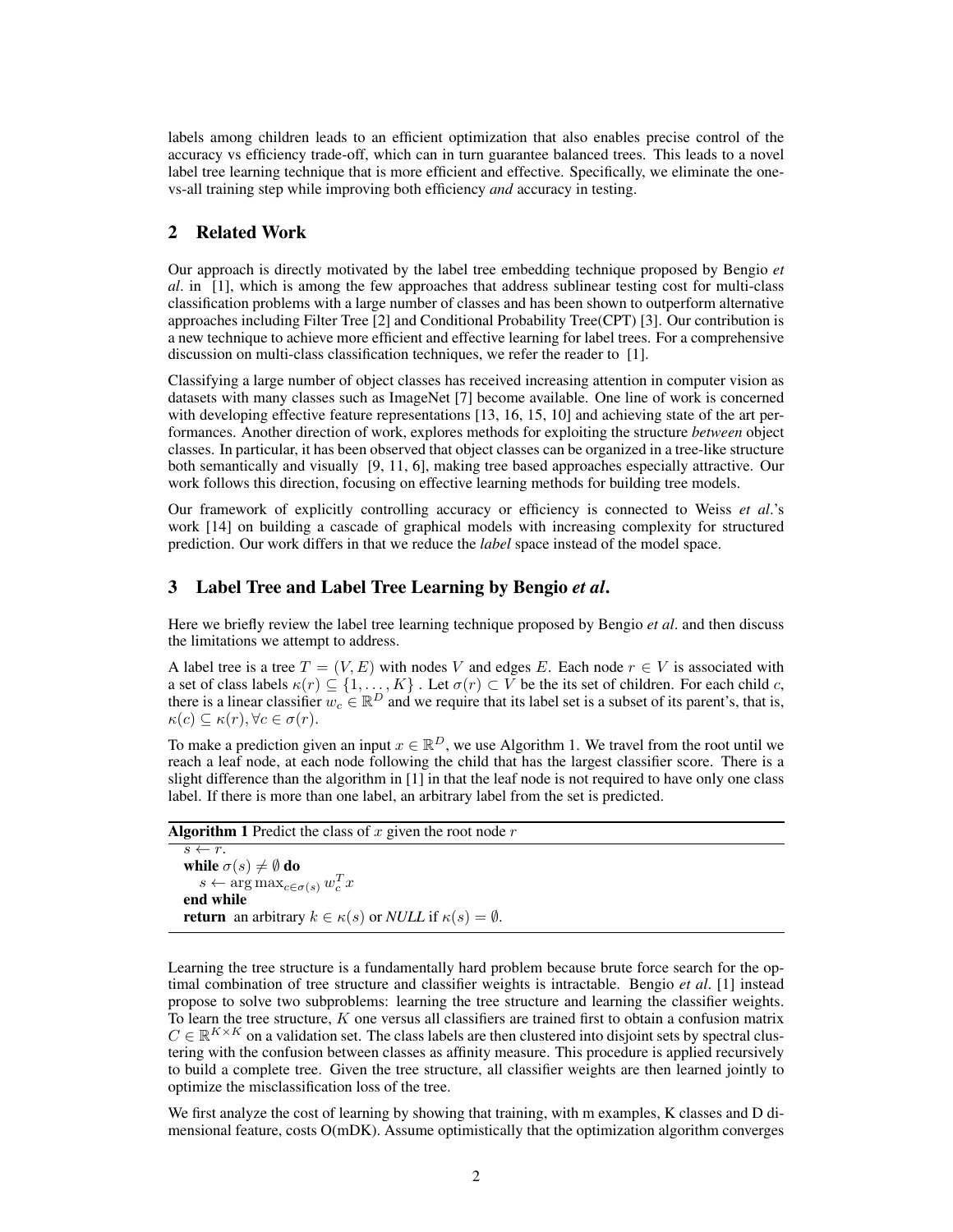labels among children leads to an efficient optimization that also enables precise control of the accuracy vs efficiency trade-off, which can in turn guarantee balanced trees. This leads to a novel label tree learning technique that is more efficient and effective. Specifically, we eliminate the onevs-all training step while improving both efficiency *and* accuracy in testing.

# 2 Related Work

Our approach is directly motivated by the label tree embedding technique proposed by Bengio *et al*. in [1], which is among the few approaches that address sublinear testing cost for multi-class classification problems with a large number of classes and has been shown to outperform alternative approaches including Filter Tree [2] and Conditional Probability Tree(CPT) [3]. Our contribution is a new technique to achieve more efficient and effective learning for label trees. For a comprehensive discussion on multi-class classification techniques, we refer the reader to [1].

Classifying a large number of object classes has received increasing attention in computer vision as datasets with many classes such as ImageNet [7] become available. One line of work is concerned with developing effective feature representations [13, 16, 15, 10] and achieving state of the art performances. Another direction of work, explores methods for exploiting the structure *between* object classes. In particular, it has been observed that object classes can be organized in a tree-like structure both semantically and visually [9, 11, 6], making tree based approaches especially attractive. Our work follows this direction, focusing on effective learning methods for building tree models.

Our framework of explicitly controlling accuracy or efficiency is connected to Weiss *et al*.'s work [14] on building a cascade of graphical models with increasing complexity for structured prediction. Our work differs in that we reduce the *label* space instead of the model space.

## 3 Label Tree and Label Tree Learning by Bengio *et al*.

Here we briefly review the label tree learning technique proposed by Bengio *et al*. and then discuss the limitations we attempt to address.

A label tree is a tree  $T = (V, E)$  with nodes V and edges E. Each node  $r \in V$  is associated with a set of class labels  $\kappa(r) \subseteq \{1, \ldots, K\}$ . Let  $\sigma(r) \subset V$  be the its set of children. For each child c, there is a linear classifier  $w_c \in \mathbb{R}^D$  and we require that its label set is a subset of its parent's, that is,  $\kappa(c) \subseteq \kappa(r)$ ,  $\forall c \in \sigma(r)$ .

To make a prediction given an input  $x \in \mathbb{R}^D$ , we use Algorithm 1. We travel from the root until we reach a leaf node, at each node following the child that has the largest classifier score. There is a slight difference than the algorithm in [1] in that the leaf node is not required to have only one class label. If there is more than one label, an arbitrary label from the set is predicted.

| <b>Algorithm 1</b> Predict the class of $x$ given the root node $r$                      |  |
|------------------------------------------------------------------------------------------|--|
| $s \leftarrow r$ .                                                                       |  |
| while $\sigma(s) \neq \emptyset$ do                                                      |  |
| $s \leftarrow \arg \max_{c \in \sigma(s)} w_c^T x$                                       |  |
| end while                                                                                |  |
| <b>return</b> an arbitrary $k \in \kappa(s)$ or <i>NULL</i> if $\kappa(s) = \emptyset$ . |  |

Learning the tree structure is a fundamentally hard problem because brute force search for the optimal combination of tree structure and classifier weights is intractable. Bengio *et al*. [1] instead propose to solve two subproblems: learning the tree structure and learning the classifier weights. To learn the tree structure,  $K$  one versus all classifiers are trained first to obtain a confusion matrix  $C \in \mathbb{R}^{K \times K}$  on a validation set. The class labels are then clustered into disjoint sets by spectral clustering with the confusion between classes as affinity measure. This procedure is applied recursively to build a complete tree. Given the tree structure, all classifier weights are then learned jointly to optimize the misclassification loss of the tree.

We first analyze the cost of learning by showing that training, with m examples, K classes and D dimensional feature, costs O(mDK). Assume optimistically that the optimization algorithm converges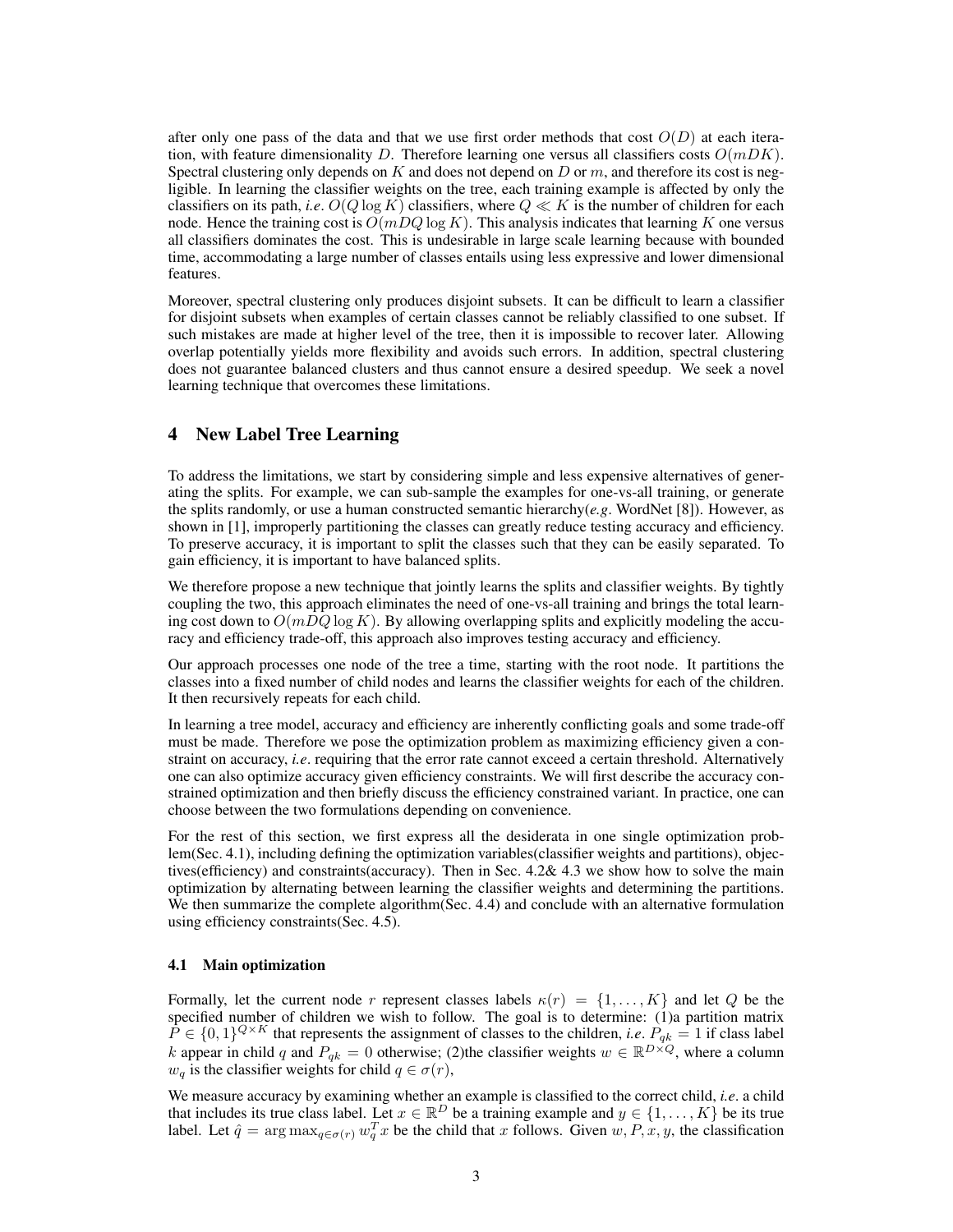after only one pass of the data and that we use first order methods that cost  $O(D)$  at each iteration, with feature dimensionality D. Therefore learning one versus all classifiers costs  $O(mDK)$ . Spectral clustering only depends on  $K$  and does not depend on  $D$  or  $m$ , and therefore its cost is negligible. In learning the classifier weights on the tree, each training example is affected by only the classifiers on its path, *i.e.*  $O(Q \log K)$  classifiers, where  $Q \ll K$  is the number of children for each node. Hence the training cost is  $O(mDQ \log K)$ . This analysis indicates that learning K one versus all classifiers dominates the cost. This is undesirable in large scale learning because with bounded time, accommodating a large number of classes entails using less expressive and lower dimensional features.

Moreover, spectral clustering only produces disjoint subsets. It can be difficult to learn a classifier for disjoint subsets when examples of certain classes cannot be reliably classified to one subset. If such mistakes are made at higher level of the tree, then it is impossible to recover later. Allowing overlap potentially yields more flexibility and avoids such errors. In addition, spectral clustering does not guarantee balanced clusters and thus cannot ensure a desired speedup. We seek a novel learning technique that overcomes these limitations.

# 4 New Label Tree Learning

To address the limitations, we start by considering simple and less expensive alternatives of generating the splits. For example, we can sub-sample the examples for one-vs-all training, or generate the splits randomly, or use a human constructed semantic hierarchy(*e.g*. WordNet [8]). However, as shown in [1], improperly partitioning the classes can greatly reduce testing accuracy and efficiency. To preserve accuracy, it is important to split the classes such that they can be easily separated. To gain efficiency, it is important to have balanced splits.

We therefore propose a new technique that jointly learns the splits and classifier weights. By tightly coupling the two, this approach eliminates the need of one-vs-all training and brings the total learning cost down to  $O(mDQ \log K)$ . By allowing overlapping splits and explicitly modeling the accuracy and efficiency trade-off, this approach also improves testing accuracy and efficiency.

Our approach processes one node of the tree a time, starting with the root node. It partitions the classes into a fixed number of child nodes and learns the classifier weights for each of the children. It then recursively repeats for each child.

In learning a tree model, accuracy and efficiency are inherently conflicting goals and some trade-off must be made. Therefore we pose the optimization problem as maximizing efficiency given a constraint on accuracy, *i.e*. requiring that the error rate cannot exceed a certain threshold. Alternatively one can also optimize accuracy given efficiency constraints. We will first describe the accuracy constrained optimization and then briefly discuss the efficiency constrained variant. In practice, one can choose between the two formulations depending on convenience.

For the rest of this section, we first express all the desiderata in one single optimization problem(Sec. 4.1), including defining the optimization variables(classifier weights and partitions), objectives(efficiency) and constraints(accuracy). Then in Sec. 4.2& 4.3 we show how to solve the main optimization by alternating between learning the classifier weights and determining the partitions. We then summarize the complete algorithm(Sec. 4.4) and conclude with an alternative formulation using efficiency constraints(Sec. 4.5).

### 4.1 Main optimization

Formally, let the current node r represent classes labels  $\kappa(r) = \{1, \ldots, K\}$  and let Q be the specified number of children we wish to follow. The goal is to determine: (1)a partition matrix  $\tilde{P} \in \{0,1\}^{Q \times K}$  that represents the assignment of classes to the children, *i.e.*  $P_{qk} = 1$  if class label k appear in child q and  $P_{qk} = 0$  otherwise; (2) the classifier weights  $w \in \mathbb{R}^{D \times Q}$ , where a column  $w_q$  is the classifier weights for child  $q \in \sigma(r)$ ,

We measure accuracy by examining whether an example is classified to the correct child, *i.e*. a child that includes its true class label. Let  $x \in \mathbb{R}^D$  be a training example and  $y \in \{1, ..., K\}$  be its true label. Let  $\hat{q} = \arg \max_{q \in \sigma(r)} w_q^T x$  be the child that x follows. Given  $w, P, x, y$ , the classification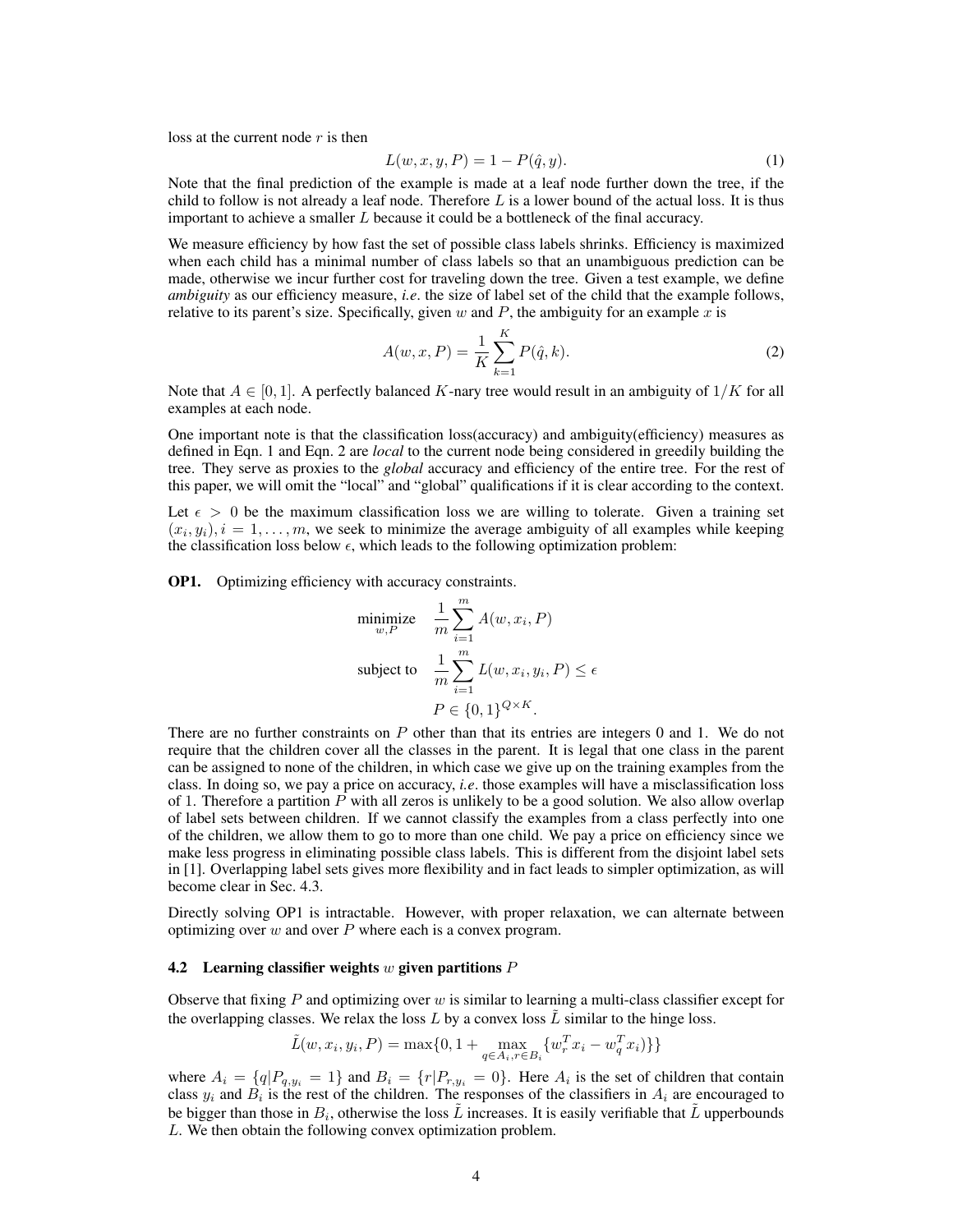loss at the current node  $r$  is then

$$
L(w, x, y, P) = 1 - P(\hat{q}, y).
$$
\n(1)

Note that the final prediction of the example is made at a leaf node further down the tree, if the child to follow is not already a leaf node. Therefore  $L$  is a lower bound of the actual loss. It is thus important to achieve a smaller  $L$  because it could be a bottleneck of the final accuracy.

We measure efficiency by how fast the set of possible class labels shrinks. Efficiency is maximized when each child has a minimal number of class labels so that an unambiguous prediction can be made, otherwise we incur further cost for traveling down the tree. Given a test example, we define *ambiguity* as our efficiency measure, *i.e*. the size of label set of the child that the example follows, relative to its parent's size. Specifically, given w and  $P$ , the ambiguity for an example x is

$$
A(w, x, P) = \frac{1}{K} \sum_{k=1}^{K} P(\hat{q}, k).
$$
 (2)

Note that  $A \in [0, 1]$ . A perfectly balanced K-nary tree would result in an ambiguity of  $1/K$  for all examples at each node.

One important note is that the classification loss(accuracy) and ambiguity(efficiency) measures as defined in Eqn. 1 and Eqn. 2 are *local* to the current node being considered in greedily building the tree. They serve as proxies to the *global* accuracy and efficiency of the entire tree. For the rest of this paper, we will omit the "local" and "global" qualifications if it is clear according to the context.

Let  $\epsilon > 0$  be the maximum classification loss we are willing to tolerate. Given a training set  $(x_i, y_i)$ ,  $i = 1, \ldots, m$ , we seek to minimize the average ambiguity of all examples while keeping the classification loss below  $\epsilon$ , which leads to the following optimization problem:

OP1. Optimizing efficiency with accuracy constraints.

$$
\begin{aligned}\n\text{minimize} & \quad \frac{1}{m} \sum_{i=1}^{m} A(w, x_i, P) \\
\text{subject to} & \quad \frac{1}{m} \sum_{i=1}^{m} L(w, x_i, y_i, P) \le \epsilon \\
& P \in \{0, 1\}^{Q \times K}.\n\end{aligned}
$$

There are no further constraints on P other than that its entries are integers 0 and 1. We do not require that the children cover all the classes in the parent. It is legal that one class in the parent can be assigned to none of the children, in which case we give up on the training examples from the class. In doing so, we pay a price on accuracy, *i.e*. those examples will have a misclassification loss of 1. Therefore a partition  $P$  with all zeros is unlikely to be a good solution. We also allow overlap of label sets between children. If we cannot classify the examples from a class perfectly into one of the children, we allow them to go to more than one child. We pay a price on efficiency since we make less progress in eliminating possible class labels. This is different from the disjoint label sets in [1]. Overlapping label sets gives more flexibility and in fact leads to simpler optimization, as will become clear in Sec. 4.3.

Directly solving OP1 is intractable. However, with proper relaxation, we can alternate between optimizing over  $w$  and over  $P$  where each is a convex program.

#### 4.2 Learning classifier weights  $w$  given partitions  $P$

Observe that fixing  $P$  and optimizing over  $w$  is similar to learning a multi-class classifier except for the overlapping classes. We relax the loss  $L$  by a convex loss  $\tilde{L}$  similar to the hinge loss.

$$
\tilde{L}(w, x_i, y_i, P) = \max\{0, 1 + \max_{q \in A_i, r \in B_i} \{w_r^T x_i - w_q^T x_i\} \}
$$

where  $A_i = \{q | P_{q,y_i} = 1\}$  and  $B_i = \{r | P_{r,y_i} = 0\}$ . Here  $A_i$  is the set of children that contain class  $y_i$  and  $B_i$  is the rest of the children. The responses of the classifiers in  $A_i$  are encouraged to be bigger than those in  $B_i$ , otherwise the loss  $\tilde{L}$  increases. It is easily verifiable that  $\tilde{L}$  upperbounds L. We then obtain the following convex optimization problem.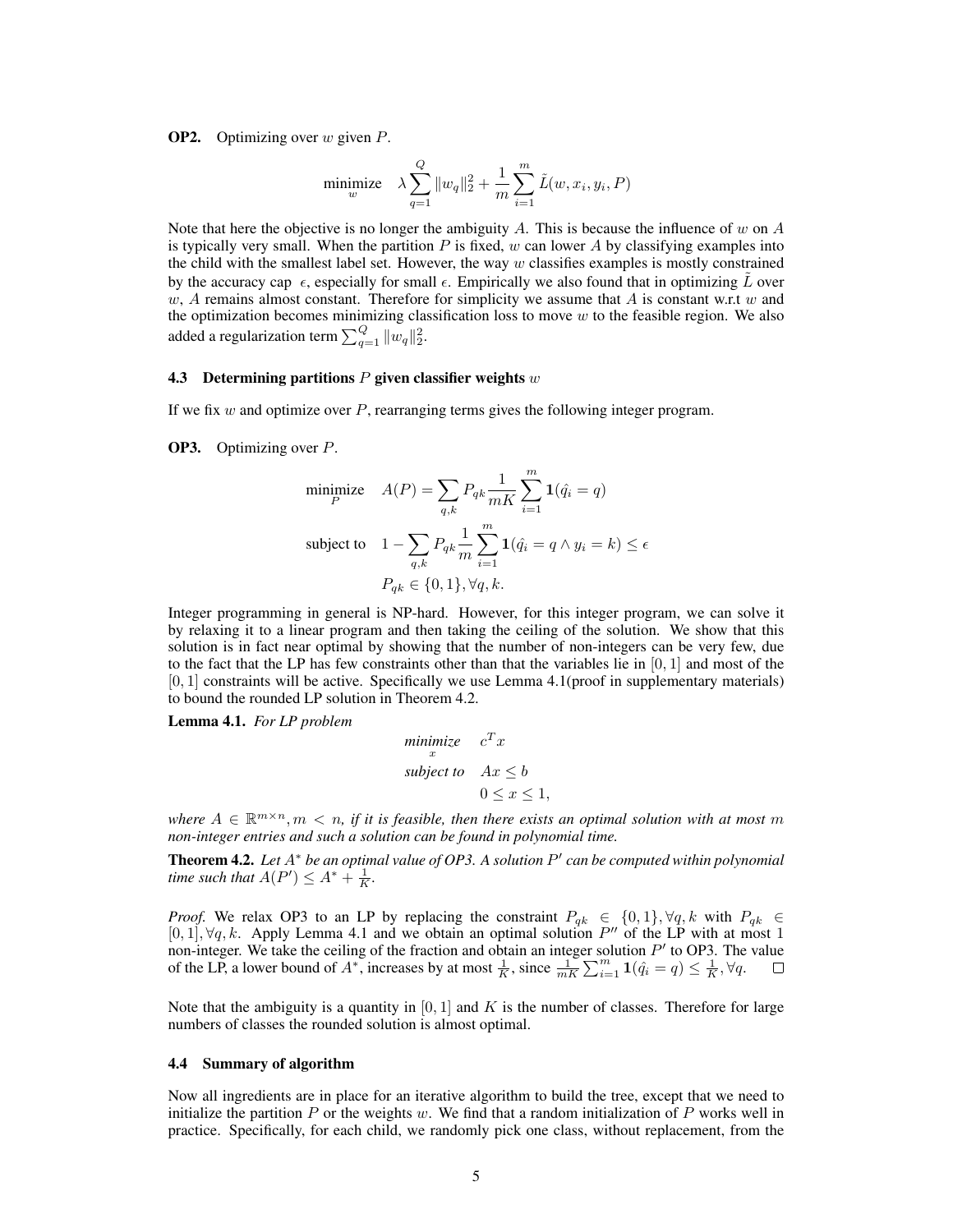**OP2.** Optimizing over  $w$  given  $P$ .

$$
\underset{w}{\text{minimize}} \quad \lambda \sum_{q=1}^{Q} \|w_q\|_2^2 + \frac{1}{m} \sum_{i=1}^{m} \tilde{L}(w, x_i, y_i, P)
$$

Note that here the objective is no longer the ambiguity A. This is because the influence of w on  $A$ is typically very small. When the partition  $P$  is fixed, w can lower  $A$  by classifying examples into the child with the smallest label set. However, the way  $w$  classifies examples is mostly constrained by the accuracy cap  $\epsilon$ , especially for small  $\epsilon$ . Empirically we also found that in optimizing L over w, A remains almost constant. Therefore for simplicity we assume that A is constant w.r.t w and the optimization becomes minimizing classification loss to move  $w$  to the feasible region. We also added a regularization term  $\sum_{q=1}^{Q} \|w_q\|_2^2$ .

#### 4.3 Determining partitions  $P$  given classifier weights  $w$

If we fix  $w$  and optimize over  $P$ , rearranging terms gives the following integer program.

OP3. Optimizing over P.

minimize 
$$
A(P) = \sum_{q,k} P_{qk} \frac{1}{mK} \sum_{i=1}^{m} \mathbf{1}(\hat{q}_i = q)
$$
  
\nsubject to  $1 - \sum_{q,k} P_{qk} \frac{1}{m} \sum_{i=1}^{m} \mathbf{1}(\hat{q}_i = q \wedge y_i = k) \le \epsilon$   
\n $P_{qk} \in \{0, 1\}, \forall q, k.$ 

Integer programming in general is NP-hard. However, for this integer program, we can solve it by relaxing it to a linear program and then taking the ceiling of the solution. We show that this solution is in fact near optimal by showing that the number of non-integers can be very few, due to the fact that the LP has few constraints other than that the variables lie in  $[0, 1]$  and most of the  $[0, 1]$  constraints will be active. Specifically we use Lemma 4.1 (proof in supplementary materials) to bound the rounded LP solution in Theorem 4.2.

Lemma 4.1. *For LP problem*

$$
\begin{array}{ll}\text{minimize} & c^T x\\ \text{subject to} & Ax \leq b\\ & 0 < x < 1, \end{array}
$$

where  $A \in \mathbb{R}^{m \times n}$ ,  $m \langle n, r \rangle$  it is feasible, then there exists an optimal solution with at most m *non-integer entries and such a solution can be found in polynomial time.*

**Theorem 4.2.** Let A<sup>∗</sup> be an optimal value of OP3. A solution P' can be computed within polynomial *time such that*  $A(P') \leq A^* + \frac{1}{K}$ *.* 

*Proof.* We relax OP3 to an LP by replacing the constraint  $P_{qk} \in \{0,1\}$ ,  $\forall q, k$  with  $P_{qk} \in$  $[0,1], \forall q, k.$  Apply Lemma 4.1 and we obtain an optimal solution  $P''$  of the LP with at most 1 non-integer. We take the ceiling of the fraction and obtain an integer solution  $P'$  to OP3. The value of the LP, a lower bound of  $A^*$ , increases by at most  $\frac{1}{K}$ , since  $\frac{1}{mK} \sum_{i=1}^m \mathbf{1}(\hat{q}_i = q) \leq \frac{1}{K}$ ,  $\forall q$ .

Note that the ambiguity is a quantity in  $[0, 1]$  and K is the number of classes. Therefore for large numbers of classes the rounded solution is almost optimal.

#### 4.4 Summary of algorithm

Now all ingredients are in place for an iterative algorithm to build the tree, except that we need to initialize the partition  $P$  or the weights w. We find that a random initialization of  $P$  works well in practice. Specifically, for each child, we randomly pick one class, without replacement, from the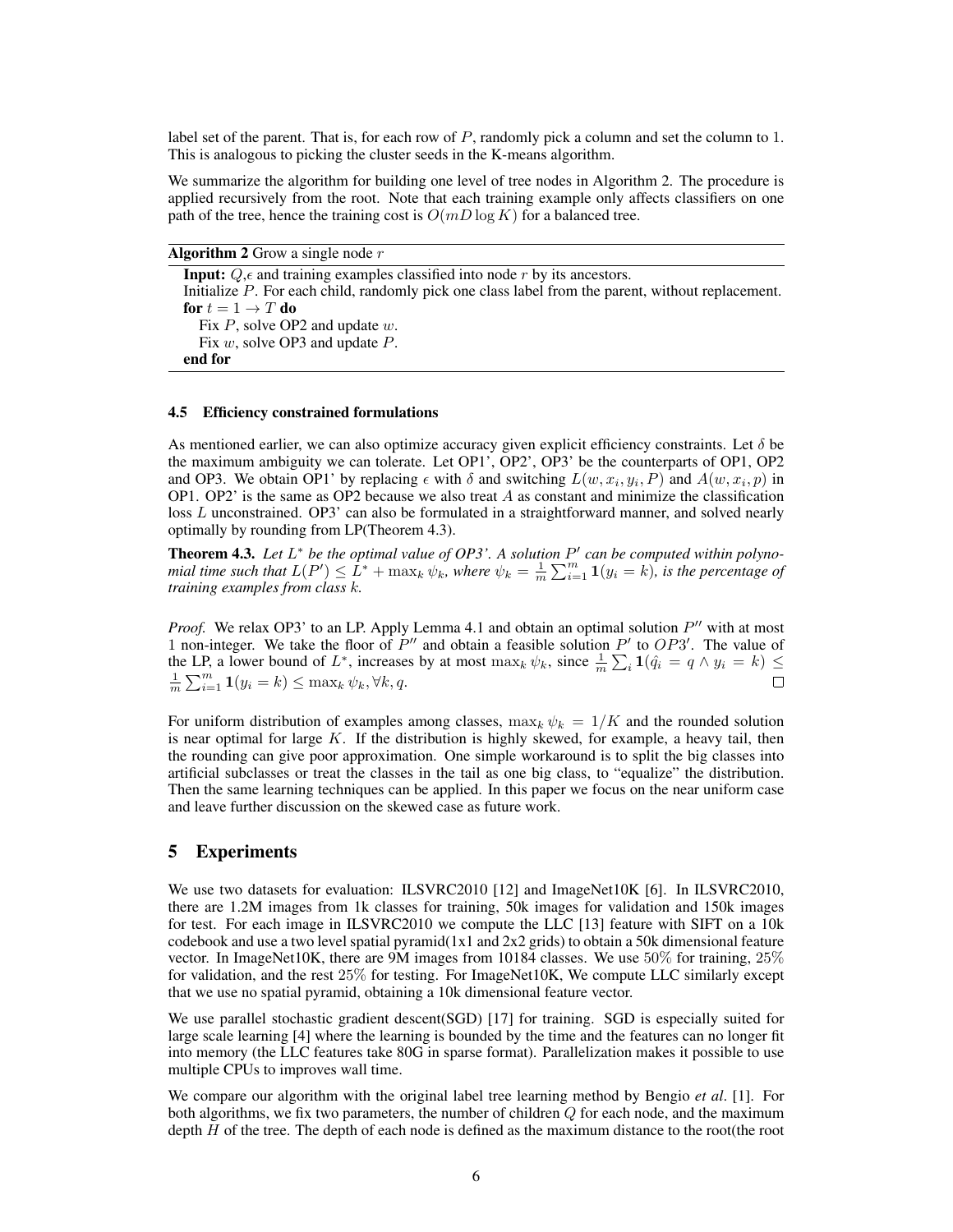label set of the parent. That is, for each row of P, randomly pick a column and set the column to 1. This is analogous to picking the cluster seeds in the K-means algorithm.

We summarize the algorithm for building one level of tree nodes in Algorithm 2. The procedure is applied recursively from the root. Note that each training example only affects classifiers on one path of the tree, hence the training cost is  $O(mD \log K)$  for a balanced tree.

**Algorithm 2** Grow a single node  $r$ 

**Input:**  $Q$ ,  $\epsilon$  and training examples classified into node r by its ancestors. Initialize P. For each child, randomly pick one class label from the parent, without replacement. for  $t = 1 \rightarrow T$  do Fix  $P$ , solve OP2 and update  $w$ . Fix w, solve OP3 and update  $P$ . end for

#### 4.5 Efficiency constrained formulations

As mentioned earlier, we can also optimize accuracy given explicit efficiency constraints. Let  $\delta$  be the maximum ambiguity we can tolerate. Let OP1', OP2', OP3' be the counterparts of OP1, OP2 and OP3. We obtain OP1' by replacing  $\epsilon$  with  $\delta$  and switching  $L(w, x_i, y_i, P)$  and  $A(w, x_i, p)$  in OP1. OP2' is the same as OP2 because we also treat  $A$  as constant and minimize the classification loss L unconstrained. OP3' can also be formulated in a straightforward manner, and solved nearly optimally by rounding from LP(Theorem 4.3).

**Theorem 4.3.** Let  $L^*$  be the optimal value of  $OP3'$ . A solution  $P'$  can be computed within polyno*mial time such that*  $L(P') \leq L^* + \max_k \psi_k$ , where  $\psi_k = \frac{1}{m} \sum_{i=1}^m \mathbf{1}(y_i = k)$ , is the percentage of *training examples from class* k*.*

*Proof.* We relax OP3' to an LP. Apply Lemma 4.1 and obtain an optimal solution  $P''$  with at most 1 non-integer. We take the floor of  $P''$  and obtain a feasible solution  $P'$  to  $OP3'$ . The value of the LP, a lower bound of  $L^*$ , increases by at most  $\max_k \psi_k$ , since  $\frac{1}{m} \sum_i \mathbf{1}(\hat{q}_i = q \wedge y_i = k) \leq$  $\frac{1}{m} \sum_{i=1}^{m} \mathbf{1}(y_i = k) \leq \max_k \psi_k, \forall k, q.$  $\Box$ 

For uniform distribution of examples among classes,  $\max_k \psi_k = 1/K$  and the rounded solution is near optimal for large  $K$ . If the distribution is highly skewed, for example, a heavy tail, then the rounding can give poor approximation. One simple workaround is to split the big classes into artificial subclasses or treat the classes in the tail as one big class, to "equalize" the distribution. Then the same learning techniques can be applied. In this paper we focus on the near uniform case and leave further discussion on the skewed case as future work.

## 5 Experiments

We use two datasets for evaluation: ILSVRC2010 [12] and ImageNet10K [6]. In ILSVRC2010, there are 1.2M images from 1k classes for training, 50k images for validation and 150k images for test. For each image in ILSVRC2010 we compute the LLC [13] feature with SIFT on a 10k codebook and use a two level spatial pyramid $(1x1$  and  $2x2$  grids) to obtain a 50k dimensional feature vector. In ImageNet10K, there are 9M images from 10184 classes. We use 50% for training, 25% for validation, and the rest 25% for testing. For ImageNet10K, We compute LLC similarly except that we use no spatial pyramid, obtaining a 10k dimensional feature vector.

We use parallel stochastic gradient descent(SGD) [17] for training. SGD is especially suited for large scale learning [4] where the learning is bounded by the time and the features can no longer fit into memory (the LLC features take 80G in sparse format). Parallelization makes it possible to use multiple CPUs to improves wall time.

We compare our algorithm with the original label tree learning method by Bengio *et al*. [1]. For both algorithms, we fix two parameters, the number of children  $Q$  for each node, and the maximum depth H of the tree. The depth of each node is defined as the maximum distance to the root(the root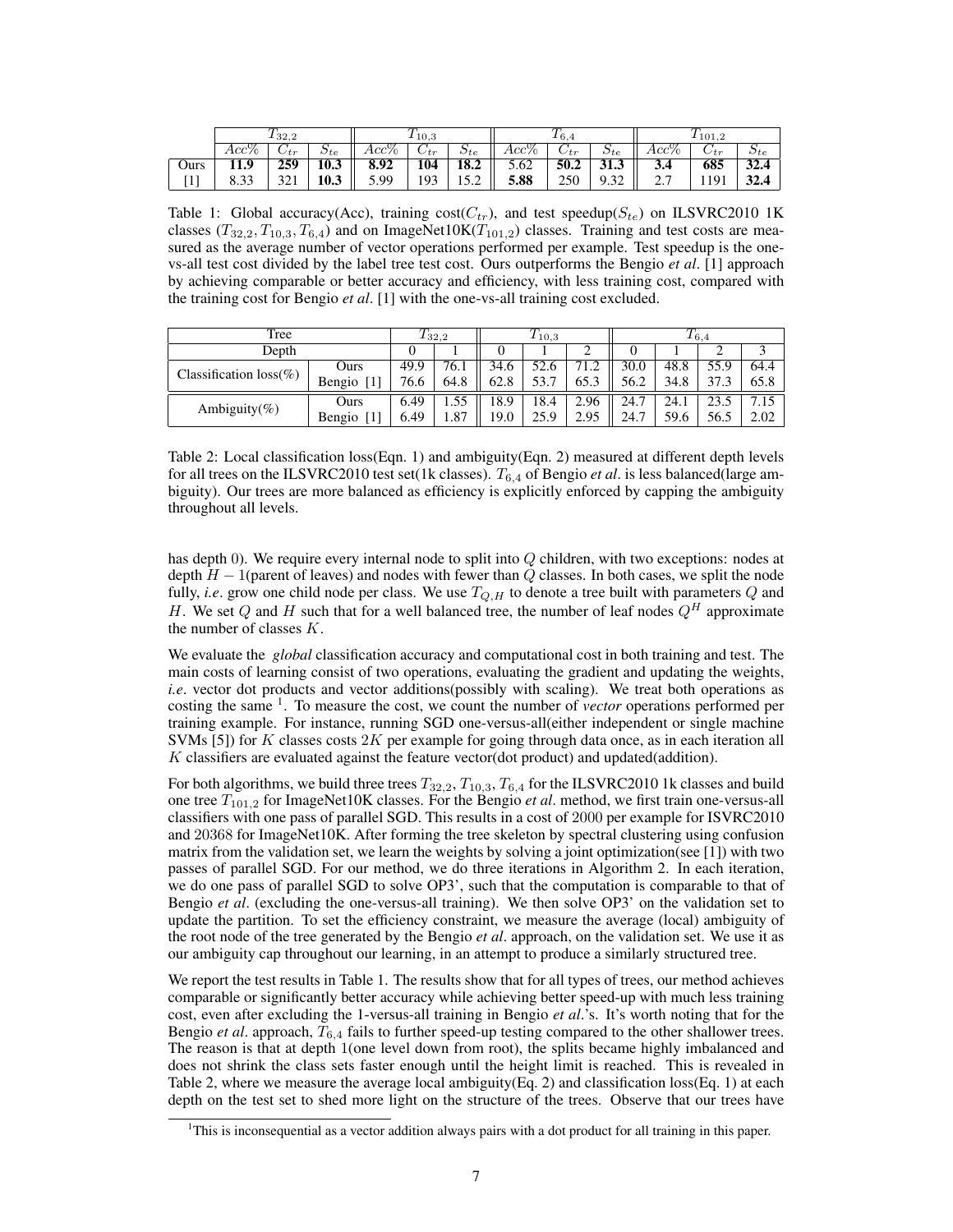|      | 132,2              |             | 10,3          |         |           | 16,4          |         |           | 101.2         |                   |           |                      |
|------|--------------------|-------------|---------------|---------|-----------|---------------|---------|-----------|---------------|-------------------|-----------|----------------------|
|      | $Acc\%$            | $\cup tr$   | $\omega_{te}$ | $Acc\%$ | $\cup tr$ | $\omega_{te}$ | $Acc\%$ | $\cup tr$ | $\omega_{te}$ | $Acc\%$           | $\cup$ tr | $\omega_{te}$        |
| Ours |                    | 259         | 10.3          | 8.92    | 104       | 18.2          | 5.62    | 50.2      | 21<br>J1.J    | 3.4               | 685       | $\mathbf{z}$<br>32.4 |
| л.   | n n<br><b>U.JJ</b> | 221<br>⊥ ∠ر | 10.3          | 5.99    | 193       | c<br>         | 5.88    | 250       | 0.22<br>ے ب   | n n<br>, <u>,</u> | 1191      | 22A<br>34.4          |

Table 1: Global accuracy(Acc), training  $cost(C_{tr})$ , and test speedup( $S_{te}$ ) on ILSVRC2010 1K classes  $(T_{32,2}, T_{10,3}, T_{6,4})$  and on ImageNet10K( $T_{101,2}$ ) classes. Training and test costs are measured as the average number of vector operations performed per example. Test speedup is the onevs-all test cost divided by the label tree test cost. Ours outperforms the Bengio *et al*. [1] approach by achieving comparable or better accuracy and efficiency, with less training cost, compared with the training cost for Bengio *et al*. [1] with the one-vs-all training cost excluded.

| Tree                      | 132.2  |      | $\tau$<br>110,3 |      |      | $\tau$<br>16.4 |      |      |      |      |
|---------------------------|--------|------|-----------------|------|------|----------------|------|------|------|------|
| Depth                     |        |      |                 |      |      |                |      |      |      |      |
| Classification $loss(\%)$ | Ours   | 49.9 | 76.1            | 34.6 | 52.6 | 71.2           | 30.0 | 48.8 | 55.9 | 64.4 |
|                           | Bengio | 76.6 | 64.8            | 62.8 | 53.7 | 65.3           | 56.2 | 34.8 | 37.3 | 65.8 |
|                           | Ours   | 6.49 |                 | 18.9 | 18.4 | 2.96           | 24.7 | 24.1 | 23.5 |      |
| Ambiguity(%)              | Bengio | 6.49 | 1.87            | 19.0 | 25.9 | 2.95           | 24.7 | 59.6 | 56.5 | 2.02 |

Table 2: Local classification loss(Eqn. 1) and ambiguity(Eqn. 2) measured at different depth levels for all trees on the ILSVRC2010 test set(1k classes). T6,<sup>4</sup> of Bengio *et al*. is less balanced(large ambiguity). Our trees are more balanced as efficiency is explicitly enforced by capping the ambiguity throughout all levels.

has depth 0). We require every internal node to split into Q children, with two exceptions: nodes at depth  $H - 1$ (parent of leaves) and nodes with fewer than Q classes. In both cases, we split the node fully, *i.e.* grow one child node per class. We use  $T_{Q,H}$  to denote a tree built with parameters  $Q$  and H. We set Q and H such that for a well balanced tree, the number of leaf nodes  $Q^H$  approximate the number of classes  $K$ .

We evaluate the *global* classification accuracy and computational cost in both training and test. The main costs of learning consist of two operations, evaluating the gradient and updating the weights, *i.e.* vector dot products and vector additions(possibly with scaling). We treat both operations as costing the same <sup>1</sup>. To measure the cost, we count the number of *vector* operations performed per training example. For instance, running SGD one-versus-all(either independent or single machine SVMs  $[5]$ ) for K classes costs 2K per example for going through data once, as in each iteration all K classifiers are evaluated against the feature vector(dot product) and updated(addition).

For both algorithms, we build three trees  $T_{32,2}$ ,  $T_{10,3}$ ,  $T_{6,4}$  for the ILSVRC2010 1k classes and build one tree T101,<sup>2</sup> for ImageNet10K classes. For the Bengio *et al*. method, we first train one-versus-all classifiers with one pass of parallel SGD. This results in a cost of 2000 per example for ISVRC2010 and 20368 for ImageNet10K. After forming the tree skeleton by spectral clustering using confusion matrix from the validation set, we learn the weights by solving a joint optimization(see [1]) with two passes of parallel SGD. For our method, we do three iterations in Algorithm 2. In each iteration, we do one pass of parallel SGD to solve OP3', such that the computation is comparable to that of Bengio *et al*. (excluding the one-versus-all training). We then solve OP3' on the validation set to update the partition. To set the efficiency constraint, we measure the average (local) ambiguity of the root node of the tree generated by the Bengio *et al*. approach, on the validation set. We use it as our ambiguity cap throughout our learning, in an attempt to produce a similarly structured tree.

We report the test results in Table 1. The results show that for all types of trees, our method achieves comparable or significantly better accuracy while achieving better speed-up with much less training cost, even after excluding the 1-versus-all training in Bengio *et al*.'s. It's worth noting that for the Bengio *et al.* approach,  $T_{6,4}$  fails to further speed-up testing compared to the other shallower trees. The reason is that at depth 1(one level down from root), the splits became highly imbalanced and does not shrink the class sets faster enough until the height limit is reached. This is revealed in Table 2, where we measure the average local ambiguity(Eq. 2) and classification loss(Eq. 1) at each depth on the test set to shed more light on the structure of the trees. Observe that our trees have

<sup>&</sup>lt;sup>1</sup>This is inconsequential as a vector addition always pairs with a dot product for all training in this paper.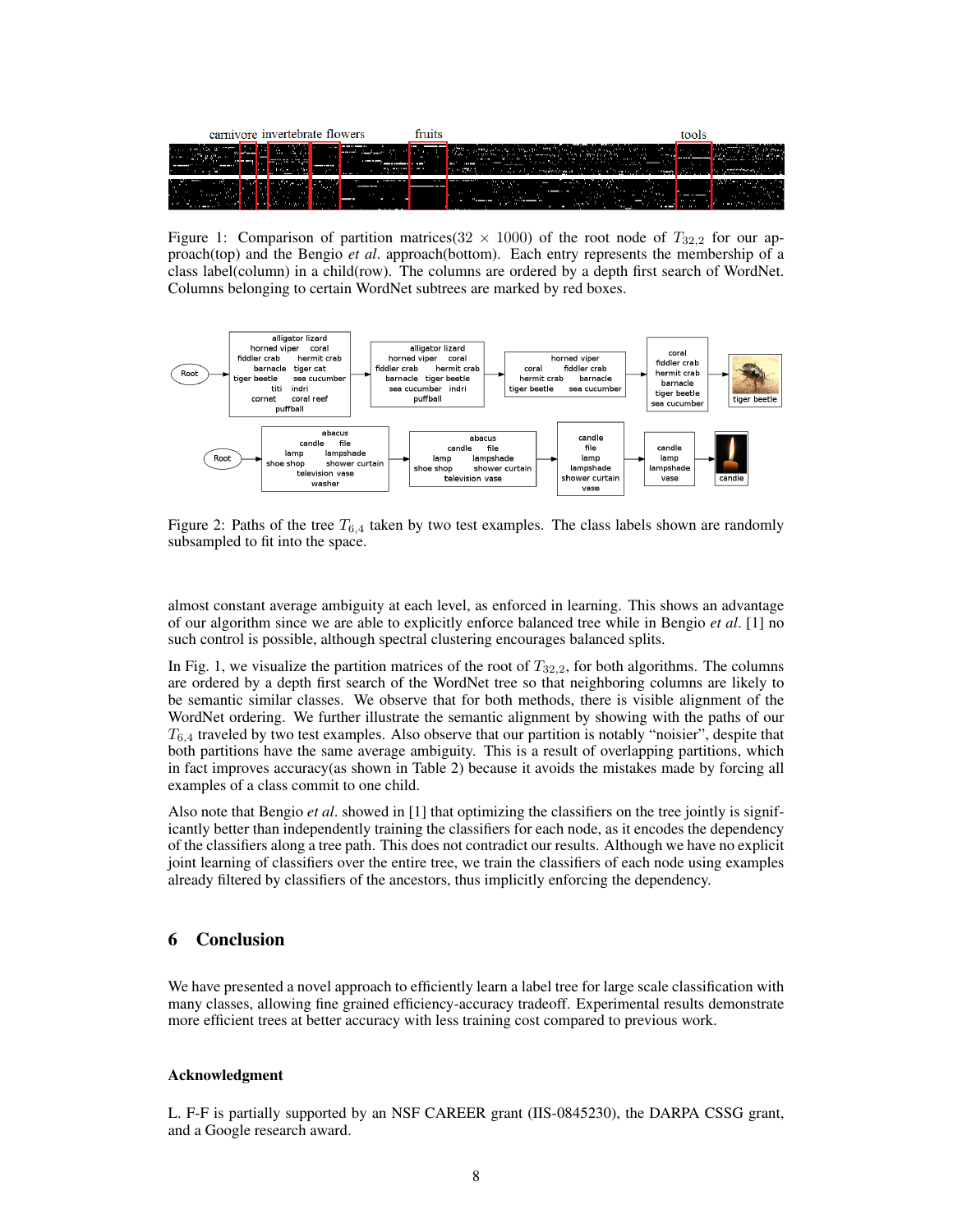| carnivore invertebrate flowers |               | шв            |             |
|--------------------------------|---------------|---------------|-------------|
|                                | $\cdots$<br>÷ | .<br>---<br>. | $\cdots$    |
| ---                            | .             | $\mathbf{r}$  | $\sim$<br>l |

Figure 1: Comparison of partition matrices ( $32 \times 1000$ ) of the root node of  $T_{32,2}$  for our approach(top) and the Bengio *et al*. approach(bottom). Each entry represents the membership of a class label(column) in a child(row). The columns are ordered by a depth first search of WordNet. Columns belonging to certain WordNet subtrees are marked by red boxes.



Figure 2: Paths of the tree  $T_{6,4}$  taken by two test examples. The class labels shown are randomly subsampled to fit into the space.

almost constant average ambiguity at each level, as enforced in learning. This shows an advantage of our algorithm since we are able to explicitly enforce balanced tree while in Bengio *et al*. [1] no such control is possible, although spectral clustering encourages balanced splits.

In Fig. 1, we visualize the partition matrices of the root of  $T_{32,2}$ , for both algorithms. The columns are ordered by a depth first search of the WordNet tree so that neighboring columns are likely to be semantic similar classes. We observe that for both methods, there is visible alignment of the WordNet ordering. We further illustrate the semantic alignment by showing with the paths of our  $T_{6,4}$  traveled by two test examples. Also observe that our partition is notably "noisier", despite that both partitions have the same average ambiguity. This is a result of overlapping partitions, which in fact improves accuracy(as shown in Table 2) because it avoids the mistakes made by forcing all examples of a class commit to one child.

Also note that Bengio *et al*. showed in [1] that optimizing the classifiers on the tree jointly is significantly better than independently training the classifiers for each node, as it encodes the dependency of the classifiers along a tree path. This does not contradict our results. Although we have no explicit joint learning of classifiers over the entire tree, we train the classifiers of each node using examples already filtered by classifiers of the ancestors, thus implicitly enforcing the dependency.

## 6 Conclusion

We have presented a novel approach to efficiently learn a label tree for large scale classification with many classes, allowing fine grained efficiency-accuracy tradeoff. Experimental results demonstrate more efficient trees at better accuracy with less training cost compared to previous work.

#### Acknowledgment

L. F-F is partially supported by an NSF CAREER grant (IIS-0845230), the DARPA CSSG grant, and a Google research award.